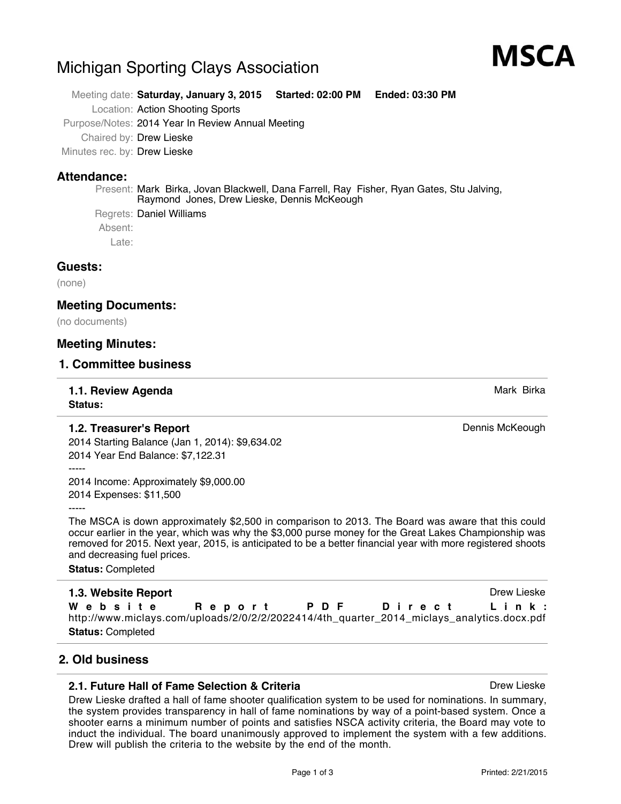# Michigan Sporting Clays Association

Meeting date: **Saturday, January 3, 2015 Started: 02:00 PM Ended: 03:30 PM**

Location: Action Shooting Sports

Purpose/Notes: 2014 Year In Review Annual Meeting

Chaired by: Drew Lieske

Minutes rec. by: Drew Lieske

# **Attendance:**

Present: Mark Birka, Jovan Blackwell, Dana Farrell, Ray Fisher, Ryan Gates, Stu Jalving, Raymond Jones, Drew Lieske, Dennis McKeough

Regrets: Daniel Williams Absent: Late:

# **Guests:**

(none)

# **Meeting Documents:**

(no documents)

# **Meeting Minutes:**

### **1. Committee business**

### **1.1. Review Agenda** Mark Birka and Agent Birka and Agent Birka and Agent Birka and Agent Birka and Agent Birka **Status:**

# **1.2. Treasurer's Report Dennis McKeough Dennis McKeough**

2014 Starting Balance (Jan 1, 2014): \$9,634.02 2014 Year End Balance: \$7,122.31

-----

2014 Income: Approximately \$9,000.00 2014 Expenses: \$11,500

-----

The MSCA is down approximately \$2,500 in comparison to 2013. The Board was aware that this could occur earlier in the year, which was why the \$3,000 purse money for the Great Lakes Championship was removed for 2015. Next year, 2015, is anticipated to be a better financial year with more registered shoots and decreasing fuel prices.

**Status:** Completed

# **1.3. Website Report Drew Lieske** Drew Lieske

**Website Report PDF Direct Link:** http://www.miclays.com/uploads/2/0/2/2/2022414/4th\_quarter\_2014\_miclays\_analytics.docx.pdf **Status:** Completed

# **2. Old business**

# **2.1. Future Hall of Fame Selection & Criteria** Drew Lieske Drew Lieske

Drew Lieske drafted a hall of fame shooter qualification system to be used for nominations. In summary, the system provides transparency in hall of fame nominations by way of a point-based system. Once a shooter earns a minimum number of points and satisfies NSCA activity criteria, the Board may vote to induct the individual. The board unanimously approved to implement the system with a few additions. Drew will publish the criteria to the website by the end of the month.



MSCA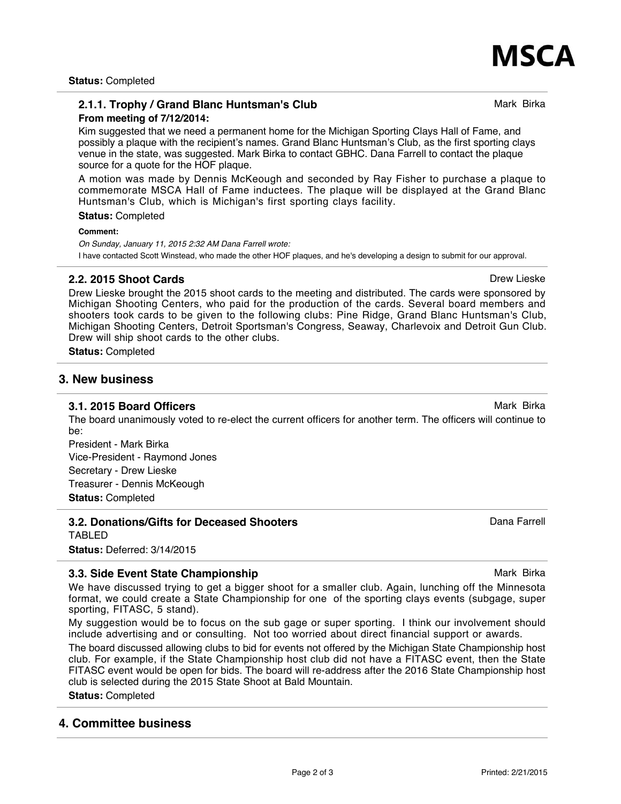**Status:** Completed

### **2.1.1. Trophy / Grand Blanc Huntsman's Club** Manus And Mark Birka **From meeting of 7/12/2014:**

Kim suggested that we need a permanent home for the Michigan Sporting Clays Hall of Fame, and possibly a plaque with the recipient's names. Grand Blanc Huntsman's Club, as the first sporting clays venue in the state, was suggested. Mark Birka to contact GBHC. Dana Farrell to contact the plaque source for a quote for the HOF plaque.

A motion was made by Dennis McKeough and seconded by Ray Fisher to purchase a plaque to commemorate MSCA Hall of Fame inductees. The plaque will be displayed at the Grand Blanc Huntsman's Club, which is Michigan's first sporting clays facility.

**Status:** Completed

**Comment:**

*On Sunday, January 11, 2015 2:32 AM Dana Farrell wrote:* I have contacted Scott Winstead, who made the other HOF plaques, and he's developing a design to submit for our approval.

### **2.2. 2015 Shoot Cards** Drew Lieske

Drew Lieske brought the 2015 shoot cards to the meeting and distributed. The cards were sponsored by Michigan Shooting Centers, who paid for the production of the cards. Several board members and shooters took cards to be given to the following clubs: Pine Ridge, Grand Blanc Huntsman's Club, Michigan Shooting Centers, Detroit Sportsman's Congress, Seaway, Charlevoix and Detroit Gun Club. Drew will ship shoot cards to the other clubs.

**Status:** Completed

### **3. New business**

#### **3.1. 2015 Board Officers** Mark Birka **Mark Birka** Mark Birka **Mark Birka** Mark Birka **Mark Birka**

The board unanimously voted to re-elect the current officers for another term. The officers will continue to be:

President - Mark Birka Vice-President - Raymond Jones Secretary - Drew Lieske Treasurer - Dennis McKeough **Status:** Completed

**3.2. Donations/Gifts for Deceased Shooters Dana Farrell Community Community Community** Dana Farrell TABLED

**Status:** Deferred: 3/14/2015

### **3.3. Side Event State Championship** Mark Birka **Mark Birka** Mark Birka

We have discussed trying to get a bigger shoot for a smaller club. Again, lunching off the Minnesota format, we could create a State Championship for one of the sporting clays events (subgage, super sporting, FITASC, 5 stand).

My suggestion would be to focus on the sub gage or super sporting. I think our involvement should include advertising and or consulting. Not too worried about direct financial support or awards.

The board discussed allowing clubs to bid for events not offered by the Michigan State Championship host club. For example, if the State Championship host club did not have a FITASC event, then the State FITASC event would be open for bids. The board will re-address after the 2016 State Championship host club is selected during the 2015 State Shoot at Bald Mountain.

**Status:** Completed

### **4. Committee business**